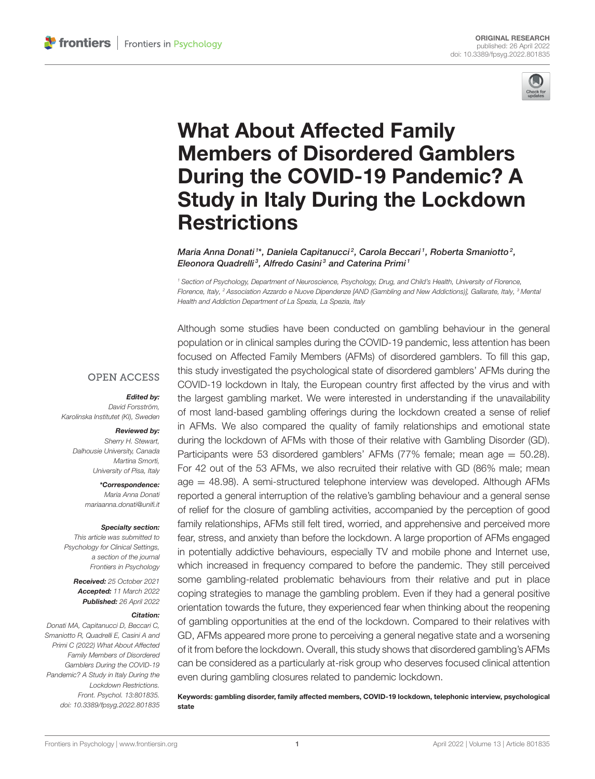

# What About Affected Family Members of Disordered Gamblers During the COVID-19 Pandemic? A [Study in Italy During the Lockdown](https://www.frontiersin.org/articles/10.3389/fpsyg.2022.801835/full) **Restrictions**

Maria Anna Donati 1\*, Daniela Capitanucci  $^2$ , Carola Beccari <sup>1</sup>, Roberta Smaniotto  $^2$ , Eleonora Quadrelli<sup>3</sup>, Alfredo Casini<sup>3</sup> and Caterina Primi<sup>1</sup>

<sup>1</sup> Section of Psychology, Department of Neuroscience, Psychology, Drug, and Child's Health, University of Florence, Florence, Italy, <sup>2</sup> Association Azzardo e Nuove Dipendenze [AND (Gambling and New Addictions)], Gallarate, Italy, <sup>3</sup> Mental Health and Addiction Department of La Spezia, La Spezia, Italy

## **OPEN ACCESS**

#### Edited by:

David Forsström, Karolinska Institutet (KI), Sweden

#### Reviewed by:

Sherry H. Stewart, Dalhousie University, Canada Martina Smorti, University of Pisa, Italy

> \*Correspondence: Maria Anna Donati [mariaanna.donati@unifi.it](mailto:mariaanna.donati@unifi.it)

#### Specialty section:

This article was submitted to Psychology for Clinical Settings, a section of the journal Frontiers in Psychology

Received: 25 October 2021 Accepted: 11 March 2022 Published: 26 April 2022

#### Citation:

Donati MA, Capitanucci D, Beccari C, Smaniotto R, Quadrelli E, Casini A and Primi C (2022) What About Affected Family Members of Disordered Gamblers During the COVID-19 Pandemic? A Study in Italy During the Lockdown Restrictions. Front. Psychol. 13:801835. doi: [10.3389/fpsyg.2022.801835](https://doi.org/10.3389/fpsyg.2022.801835) Although some studies have been conducted on gambling behaviour in the general population or in clinical samples during the COVID-19 pandemic, less attention has been focused on Affected Family Members (AFMs) of disordered gamblers. To fill this gap, this study investigated the psychological state of disordered gamblers' AFMs during the COVID-19 lockdown in Italy, the European country first affected by the virus and with the largest gambling market. We were interested in understanding if the unavailability of most land-based gambling offerings during the lockdown created a sense of relief in AFMs. We also compared the quality of family relationships and emotional state during the lockdown of AFMs with those of their relative with Gambling Disorder (GD). Participants were 53 disordered gamblers' AFMs (77% female; mean age  $= 50.28$ ). For 42 out of the 53 AFMs, we also recruited their relative with GD (86% male; mean age = 48.98). A semi-structured telephone interview was developed. Although AFMs reported a general interruption of the relative's gambling behaviour and a general sense of relief for the closure of gambling activities, accompanied by the perception of good family relationships, AFMs still felt tired, worried, and apprehensive and perceived more fear, stress, and anxiety than before the lockdown. A large proportion of AFMs engaged in potentially addictive behaviours, especially TV and mobile phone and Internet use, which increased in frequency compared to before the pandemic. They still perceived some gambling-related problematic behaviours from their relative and put in place coping strategies to manage the gambling problem. Even if they had a general positive orientation towards the future, they experienced fear when thinking about the reopening of gambling opportunities at the end of the lockdown. Compared to their relatives with GD, AFMs appeared more prone to perceiving a general negative state and a worsening of it from before the lockdown. Overall, this study shows that disordered gambling's AFMs can be considered as a particularly at-risk group who deserves focused clinical attention even during gambling closures related to pandemic lockdown.

Keywords: gambling disorder, family affected members, COVID-19 lockdown, telephonic interview, psychological state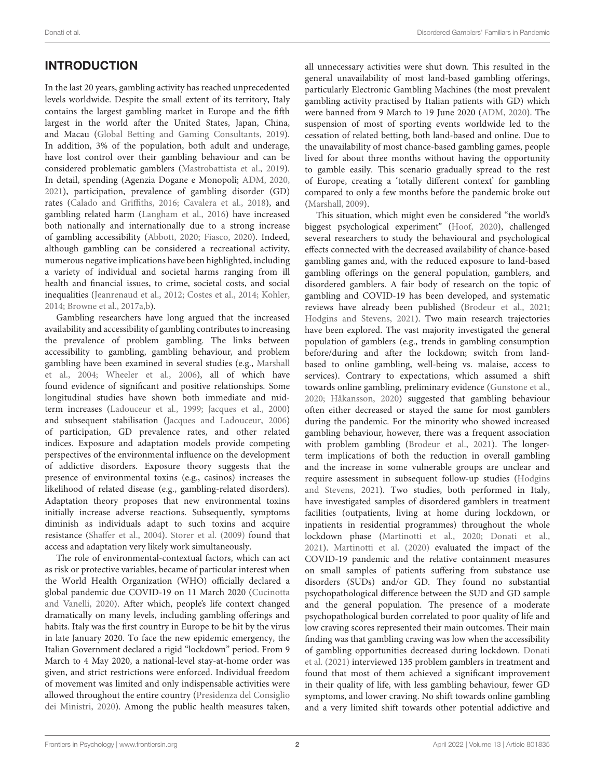# INTRODUCTION

In the last 20 years, gambling activity has reached unprecedented levels worldwide. Despite the small extent of its territory, Italy contains the largest gambling market in Europe and the fifth largest in the world after the United States, Japan, China, and Macau [\(Global Betting and Gaming Consultants, 2019\)](#page-12-0). In addition, 3% of the population, both adult and underage, have lost control over their gambling behaviour and can be considered problematic gamblers [\(Mastrobattista et al., 2019\)](#page-13-0). In detail, spending (Agenzia Dogane e Monopoli; [ADM, 2020,](#page-11-0) [2021\)](#page-11-1), participation, prevalence of gambling disorder (GD) rates [\(Calado and Griffiths, 2016;](#page-12-1) [Cavalera et al., 2018\)](#page-12-2), and gambling related harm [\(Langham et al., 2016\)](#page-12-3) have increased both nationally and internationally due to a strong increase of gambling accessibility [\(Abbott, 2020;](#page-11-2) [Fiasco, 2020\)](#page-12-4). Indeed, although gambling can be considered a recreational activity, numerous negative implications have been highlighted, including a variety of individual and societal harms ranging from ill health and financial issues, to crime, societal costs, and social inequalities [\(Jeanrenaud et al., 2012;](#page-12-5) [Costes et al., 2014;](#page-12-6) [Kohler,](#page-12-7) [2014;](#page-12-7) [Browne et al., 2017a](#page-12-8)[,b\)](#page-12-9).

Gambling researchers have long argued that the increased availability and accessibility of gambling contributes to increasing the prevalence of problem gambling. The links between accessibility to gambling, gambling behaviour, and problem gambling have been examined in several studies (e.g., Marshall et al., [2004;](#page-12-10) [Wheeler et al., 2006\)](#page-13-1), all of which have found evidence of significant and positive relationships. Some longitudinal studies have shown both immediate and midterm increases [\(Ladouceur et al., 1999;](#page-12-11) [Jacques et al., 2000\)](#page-12-12) and subsequent stabilisation [\(Jacques and Ladouceur, 2006\)](#page-12-13) of participation, GD prevalence rates, and other related indices. Exposure and adaptation models provide competing perspectives of the environmental influence on the development of addictive disorders. Exposure theory suggests that the presence of environmental toxins (e.g., casinos) increases the likelihood of related disease (e.g., gambling-related disorders). Adaptation theory proposes that new environmental toxins initially increase adverse reactions. Subsequently, symptoms diminish as individuals adapt to such toxins and acquire resistance [\(Shaffer et al., 2004\)](#page-13-2). [Storer et al. \(2009\)](#page-13-3) found that access and adaptation very likely work simultaneously.

The role of environmental-contextual factors, which can act as risk or protective variables, became of particular interest when the World Health Organization (WHO) officially declared a global pandemic due COVID-19 on 11 March 2020 (Cucinotta and Vanelli, [2020\)](#page-12-14). After which, people's life context changed dramatically on many levels, including gambling offerings and habits. Italy was the first country in Europe to be hit by the virus in late January 2020. To face the new epidemic emergency, the Italian Government declared a rigid "lockdown" period. From 9 March to 4 May 2020, a national-level stay-at-home order was given, and strict restrictions were enforced. Individual freedom of movement was limited and only indispensable activities were allowed throughout the entire country (Presidenza del Consiglio dei Ministri, [2020\)](#page-13-4). Among the public health measures taken,

all unnecessary activities were shut down. This resulted in the general unavailability of most land-based gambling offerings, particularly Electronic Gambling Machines (the most prevalent gambling activity practised by Italian patients with GD) which were banned from 9 March to 19 June 2020 [\(ADM, 2020\)](#page-11-0). The suspension of most of sporting events worldwide led to the cessation of related betting, both land-based and online. Due to the unavailability of most chance-based gambling games, people lived for about three months without having the opportunity to gamble easily. This scenario gradually spread to the rest of Europe, creating a 'totally different context' for gambling compared to only a few months before the pandemic broke out [\(Marshall, 2009\)](#page-12-15).

This situation, which might even be considered "the world's biggest psychological experiment" [\(Hoof, 2020\)](#page-12-16), challenged several researchers to study the behavioural and psychological effects connected with the decreased availability of chance-based gambling games and, with the reduced exposure to land-based gambling offerings on the general population, gamblers, and disordered gamblers. A fair body of research on the topic of gambling and COVID-19 has been developed, and systematic reviews have already been published [\(Brodeur et al., 2021;](#page-12-17) [Hodgins and Stevens, 2021\)](#page-12-18). Two main research trajectories have been explored. The vast majority investigated the general population of gamblers (e.g., trends in gambling consumption before/during and after the lockdown; switch from landbased to online gambling, well-being vs. malaise, access to services). Contrary to expectations, which assumed a shift towards online gambling, preliminary evidence [\(Gunstone et al.,](#page-12-19) [2020;](#page-12-19) [Håkansson, 2020\)](#page-12-20) suggested that gambling behaviour often either decreased or stayed the same for most gamblers during the pandemic. For the minority who showed increased gambling behaviour, however, there was a frequent association with problem gambling [\(Brodeur et al., 2021\)](#page-12-17). The longerterm implications of both the reduction in overall gambling and the increase in some vulnerable groups are unclear and require assessment in subsequent follow-up studies (Hodgins and Stevens, [2021\)](#page-12-18). Two studies, both performed in Italy, have investigated samples of disordered gamblers in treatment facilities (outpatients, living at home during lockdown, or inpatients in residential programmes) throughout the whole lockdown phase [\(Martinotti et al., 2020;](#page-12-21) [Donati et al.,](#page-12-22) [2021\)](#page-12-22). [Martinotti et al. \(2020\)](#page-12-21) evaluated the impact of the COVID-19 pandemic and the relative containment measures on small samples of patients suffering from substance use disorders (SUDs) and/or GD. They found no substantial psychopathological difference between the SUD and GD sample and the general population. The presence of a moderate psychopathological burden correlated to poor quality of life and low craving scores represented their main outcomes. Their main finding was that gambling craving was low when the accessibility of gambling opportunities decreased during lockdown. Donati et al. [\(2021\)](#page-12-22) interviewed 135 problem gamblers in treatment and found that most of them achieved a significant improvement in their quality of life, with less gambling behaviour, fewer GD symptoms, and lower craving. No shift towards online gambling and a very limited shift towards other potential addictive and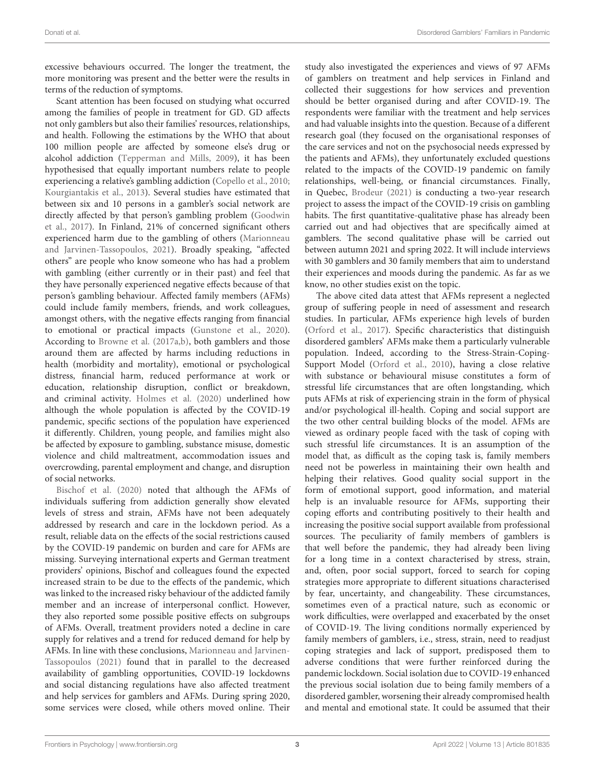excessive behaviours occurred. The longer the treatment, the more monitoring was present and the better were the results in terms of the reduction of symptoms.

Scant attention has been focused on studying what occurred among the families of people in treatment for GD. GD affects not only gamblers but also their families' resources, relationships, and health. Following the estimations by the WHO that about 100 million people are affected by someone else's drug or alcohol addiction [\(Tepperman and Mills, 2009\)](#page-13-5), it has been hypothesised that equally important numbers relate to people experiencing a relative's gambling addiction [\(Copello et al., 2010;](#page-12-23) [Kourgiantakis et al., 2013\)](#page-12-24). Several studies have estimated that between six and 10 persons in a gambler's social network are directly affected by that person's gambling problem (Goodwin et al., [2017\)](#page-12-25). In Finland, 21% of concerned significant others experienced harm due to the gambling of others (Marionneau and Jarvinen-Tassopoulos, [2021\)](#page-12-26). Broadly speaking, "affected others" are people who know someone who has had a problem with gambling (either currently or in their past) and feel that they have personally experienced negative effects because of that person's gambling behaviour. Affected family members (AFMs) could include family members, friends, and work colleagues, amongst others, with the negative effects ranging from financial to emotional or practical impacts [\(Gunstone et al., 2020\)](#page-12-19). According to [Browne et al. \(2017a,](#page-12-8)[b\)](#page-12-9), both gamblers and those around them are affected by harms including reductions in health (morbidity and mortality), emotional or psychological distress, financial harm, reduced performance at work or education, relationship disruption, conflict or breakdown, and criminal activity. [Holmes et al. \(2020\)](#page-12-27) underlined how although the whole population is affected by the COVID-19 pandemic, specific sections of the population have experienced it differently. Children, young people, and families might also be affected by exposure to gambling, substance misuse, domestic violence and child maltreatment, accommodation issues and overcrowding, parental employment and change, and disruption of social networks.

[Bischof et al. \(2020\)](#page-11-3) noted that although the AFMs of individuals suffering from addiction generally show elevated levels of stress and strain, AFMs have not been adequately addressed by research and care in the lockdown period. As a result, reliable data on the effects of the social restrictions caused by the COVID-19 pandemic on burden and care for AFMs are missing. Surveying international experts and German treatment providers' opinions, Bischof and colleagues found the expected increased strain to be due to the effects of the pandemic, which was linked to the increased risky behaviour of the addicted family member and an increase of interpersonal conflict. However, they also reported some possible positive effects on subgroups of AFMs. Overall, treatment providers noted a decline in care supply for relatives and a trend for reduced demand for help by AFMs. In line with these conclusions, Marionneau and Jarvinen-Tassopoulos [\(2021\)](#page-12-26) found that in parallel to the decreased availability of gambling opportunities, COVID-19 lockdowns and social distancing regulations have also affected treatment and help services for gamblers and AFMs. During spring 2020, some services were closed, while others moved online. Their study also investigated the experiences and views of 97 AFMs of gamblers on treatment and help services in Finland and collected their suggestions for how services and prevention should be better organised during and after COVID-19. The respondents were familiar with the treatment and help services and had valuable insights into the question. Because of a different research goal (they focused on the organisational responses of the care services and not on the psychosocial needs expressed by the patients and AFMs), they unfortunately excluded questions related to the impacts of the COVID-19 pandemic on family relationships, well-being, or financial circumstances. Finally, in Quebec, [Brodeur \(2021\)](#page-12-28) is conducting a two-year research project to assess the impact of the COVID-19 crisis on gambling habits. The first quantitative-qualitative phase has already been carried out and had objectives that are specifically aimed at gamblers. The second qualitative phase will be carried out between autumn 2021 and spring 2022. It will include interviews with 30 gamblers and 30 family members that aim to understand their experiences and moods during the pandemic. As far as we know, no other studies exist on the topic.

The above cited data attest that AFMs represent a neglected group of suffering people in need of assessment and research studies. In particular, AFMs experience high levels of burden [\(Orford et al., 2017\)](#page-13-6). Specific characteristics that distinguish disordered gamblers' AFMs make them a particularly vulnerable population. Indeed, according to the Stress-Strain-Coping-Support Model [\(Orford et al., 2010\)](#page-13-7), having a close relative with substance or behavioural misuse constitutes a form of stressful life circumstances that are often longstanding, which puts AFMs at risk of experiencing strain in the form of physical and/or psychological ill-health. Coping and social support are the two other central building blocks of the model. AFMs are viewed as ordinary people faced with the task of coping with such stressful life circumstances. It is an assumption of the model that, as difficult as the coping task is, family members need not be powerless in maintaining their own health and helping their relatives. Good quality social support in the form of emotional support, good information, and material help is an invaluable resource for AFMs, supporting their coping efforts and contributing positively to their health and increasing the positive social support available from professional sources. The peculiarity of family members of gamblers is that well before the pandemic, they had already been living for a long time in a context characterised by stress, strain, and, often, poor social support, forced to search for coping strategies more appropriate to different situations characterised by fear, uncertainty, and changeability. These circumstances, sometimes even of a practical nature, such as economic or work difficulties, were overlapped and exacerbated by the onset of COVID-19. The living conditions normally experienced by family members of gamblers, i.e., stress, strain, need to readjust coping strategies and lack of support, predisposed them to adverse conditions that were further reinforced during the pandemic lockdown. Social isolation due to COVID-19 enhanced the previous social isolation due to being family members of a disordered gambler, worsening their already compromised health and mental and emotional state. It could be assumed that their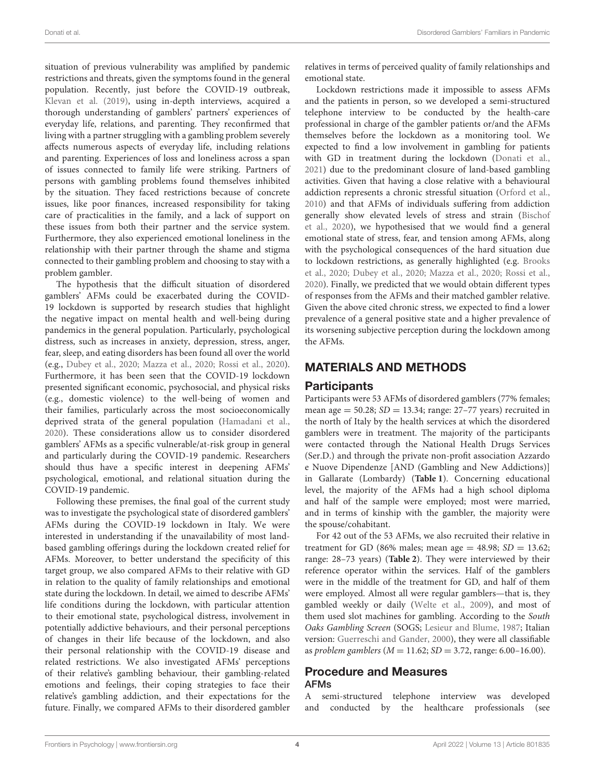situation of previous vulnerability was amplified by pandemic restrictions and threats, given the symptoms found in the general population. Recently, just before the COVID-19 outbreak, [Klevan et al. \(2019\)](#page-12-29), using in-depth interviews, acquired a thorough understanding of gamblers' partners' experiences of everyday life, relations, and parenting. They reconfirmed that living with a partner struggling with a gambling problem severely affects numerous aspects of everyday life, including relations and parenting. Experiences of loss and loneliness across a span of issues connected to family life were striking. Partners of persons with gambling problems found themselves inhibited by the situation. They faced restrictions because of concrete issues, like poor finances, increased responsibility for taking care of practicalities in the family, and a lack of support on these issues from both their partner and the service system. Furthermore, they also experienced emotional loneliness in the relationship with their partner through the shame and stigma connected to their gambling problem and choosing to stay with a problem gambler.

The hypothesis that the difficult situation of disordered gamblers' AFMs could be exacerbated during the COVID-19 lockdown is supported by research studies that highlight the negative impact on mental health and well-being during pandemics in the general population. Particularly, psychological distress, such as increases in anxiety, depression, stress, anger, fear, sleep, and eating disorders has been found all over the world (e.g., [Dubey et al., 2020;](#page-12-30) [Mazza et al., 2020;](#page-13-8) [Rossi et al., 2020\)](#page-13-9). Furthermore, it has been seen that the COVID-19 lockdown presented significant economic, psychosocial, and physical risks (e.g., domestic violence) to the well-being of women and their families, particularly across the most socioeconomically deprived strata of the general population [\(Hamadani et al.,](#page-12-31) [2020\)](#page-12-31). These considerations allow us to consider disordered gamblers' AFMs as a specific vulnerable/at-risk group in general and particularly during the COVID-19 pandemic. Researchers should thus have a specific interest in deepening AFMs' psychological, emotional, and relational situation during the COVID-19 pandemic.

Following these premises, the final goal of the current study was to investigate the psychological state of disordered gamblers' AFMs during the COVID-19 lockdown in Italy. We were interested in understanding if the unavailability of most landbased gambling offerings during the lockdown created relief for AFMs. Moreover, to better understand the specificity of this target group, we also compared AFMs to their relative with GD in relation to the quality of family relationships and emotional state during the lockdown. In detail, we aimed to describe AFMs' life conditions during the lockdown, with particular attention to their emotional state, psychological distress, involvement in potentially addictive behaviours, and their personal perceptions of changes in their life because of the lockdown, and also their personal relationship with the COVID-19 disease and related restrictions. We also investigated AFMs' perceptions of their relative's gambling behaviour, their gambling-related emotions and feelings, their coping strategies to face their relative's gambling addiction, and their expectations for the future. Finally, we compared AFMs to their disordered gambler relatives in terms of perceived quality of family relationships and emotional state.

Lockdown restrictions made it impossible to assess AFMs and the patients in person, so we developed a semi-structured telephone interview to be conducted by the health-care professional in charge of the gambler patients or/and the AFMs themselves before the lockdown as a monitoring tool. We expected to find a low involvement in gambling for patients with GD in treatment during the lockdown [\(Donati et al.,](#page-12-22) [2021\)](#page-12-22) due to the predominant closure of land-based gambling activities. Given that having a close relative with a behavioural addiction represents a chronic stressful situation [\(Orford et al.,](#page-13-7) [2010\)](#page-13-7) and that AFMs of individuals suffering from addiction generally show elevated levels of stress and strain (Bischof et al., [2020\)](#page-11-3), we hypothesised that we would find a general emotional state of stress, fear, and tension among AFMs, along with the psychological consequences of the hard situation due to lockdown restrictions, as generally highlighted (e.g. Brooks et al., [2020;](#page-12-32) [Dubey et al., 2020;](#page-12-30) [Mazza et al., 2020;](#page-13-8) [Rossi et al.,](#page-13-9) [2020\)](#page-13-9). Finally, we predicted that we would obtain different types of responses from the AFMs and their matched gambler relative. Given the above cited chronic stress, we expected to find a lower prevalence of a general positive state and a higher prevalence of its worsening subjective perception during the lockdown among the AFMs.

# MATERIALS AND METHODS

## Participants

Participants were 53 AFMs of disordered gamblers (77% females; mean age =  $50.28$ ;  $SD = 13.34$ ; range:  $27-77$  years) recruited in the north of Italy by the health services at which the disordered gamblers were in treatment. The majority of the participants were contacted through the National Health Drugs Services (Ser.D.) and through the private non-profit association Azzardo e Nuove Dipendenze [AND (Gambling and New Addictions)] in Gallarate (Lombardy) (**[Table 1](#page-4-0)**). Concerning educational level, the majority of the AFMs had a high school diploma and half of the sample were employed; most were married, and in terms of kinship with the gambler, the majority were the spouse/cohabitant.

For 42 out of the 53 AFMs, we also recruited their relative in treatment for GD (86% males; mean age  $=$  48.98; SD  $=$  13.62; range: 28–73 years) (**[Table 2](#page-4-1)**). They were interviewed by their reference operator within the services. Half of the gamblers were in the middle of the treatment for GD, and half of them were employed. Almost all were regular gamblers—that is, they gambled weekly or daily [\(Welte et al., 2009\)](#page-13-10), and most of them used slot machines for gambling. According to the South Oaks Gambling Screen (SOGS; [Lesieur and Blume, 1987;](#page-12-33) Italian version: [Guerreschi and Gander, 2000\)](#page-12-34), they were all classifiable as problem gamblers ( $M = 11.62$ ;  $SD = 3.72$ , range: 6.00–16.00).

## Procedure and Measures AFMs

A semi-structured telephone interview was developed and conducted by the healthcare professionals (see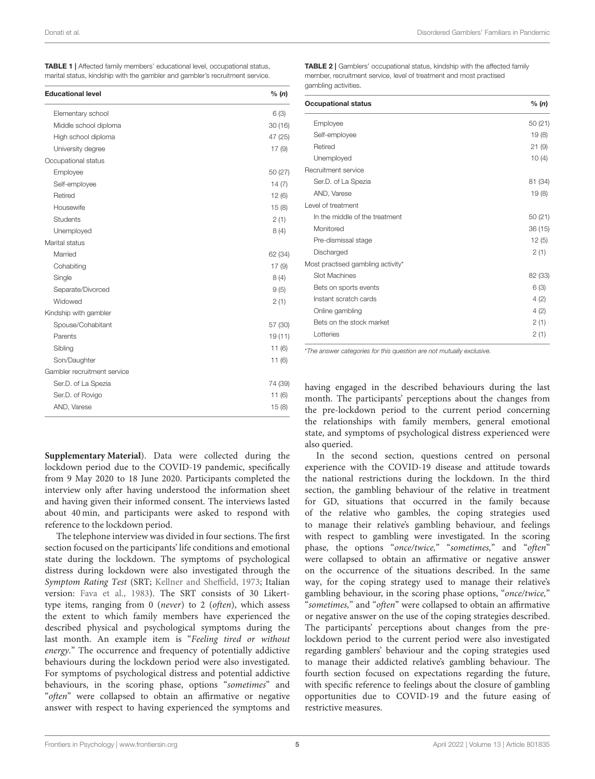<span id="page-4-0"></span>

| <b>TABLE 1</b>   Affected family members' educational level, occupational status, |  |  |
|-----------------------------------------------------------------------------------|--|--|
| marital status, kindship with the gambler and gambler's recruitment service.      |  |  |

| <b>Educational level</b>    | % (n)   |
|-----------------------------|---------|
| Elementary school           | 6(3)    |
| Middle school diploma       | 30(16)  |
| High school diploma         | 47 (25) |
| University degree           | 17(9)   |
| Occupational status         |         |
| Employee                    | 50 (27) |
| Self-employee               | 14(7)   |
| Retired                     | 12(6)   |
| Housewife                   | 15(8)   |
| <b>Students</b>             | 2(1)    |
| Unemployed                  | 8 (4)   |
| Marital status              |         |
| Married                     | 62 (34) |
| Cohabiting                  | 17(9)   |
| Single                      | 8 (4)   |
| Separate/Divorced           | 9(5)    |
| Widowed                     | 2(1)    |
| Kindship with gambler       |         |
| Spouse/Cohabitant           | 57 (30) |
| Parents                     | 19 (11) |
| Sibling                     | 11(6)   |
| Son/Daughter                | 11(6)   |
| Gambler recruitment service |         |
| Ser.D. of La Spezia         | 74 (39) |
| Ser.D. of Rovigo            | 11(6)   |
| AND, Varese                 | 15(8)   |

<span id="page-4-1"></span>TABLE 2 | Gamblers' occupational status, kindship with the affected family member, recruitment service, level of treatment and most practised gambling activities.

| <b>Occupational status</b>        | % (n)   |
|-----------------------------------|---------|
| Employee                          | 50(21)  |
| Self-employee                     | 19(8)   |
| Retired                           | 21(9)   |
| Unemployed                        | 10(4)   |
| Recruitment service               |         |
| Ser.D. of La Spezia               | 81 (34) |
| AND, Varese                       | 19(8)   |
| Level of treatment                |         |
| In the middle of the treatment    | 50(21)  |
| Monitored                         | 36(15)  |
| Pre-dismissal stage               | 12(5)   |
| Discharged                        | 2(1)    |
| Most practised gambling activity* |         |
| Slot Machines                     | 82 (33) |
| Bets on sports events             | 6(3)    |
| Instant scratch cards             | 4(2)    |
| Online gambling                   | 4(2)    |
| Bets on the stock market          | 2(1)    |
| Lotteries                         | 2(1)    |

\*The answer categories for this question are not mutually exclusive.

having engaged in the described behaviours during the last month. The participants' perceptions about the changes from the pre-lockdown period to the current period concerning the relationships with family members, general emotional state, and symptoms of psychological distress experienced were also queried.

In the second section, questions centred on personal experience with the COVID-19 disease and attitude towards the national restrictions during the lockdown. In the third section, the gambling behaviour of the relative in treatment for GD, situations that occurred in the family because of the relative who gambles, the coping strategies used to manage their relative's gambling behaviour, and feelings with respect to gambling were investigated. In the scoring phase, the options "once/twice," "sometimes," and "often" were collapsed to obtain an affirmative or negative answer on the occurrence of the situations described. In the same way, for the coping strategy used to manage their relative's gambling behaviour, in the scoring phase options, "once/twice," "sometimes," and "often" were collapsed to obtain an affirmative or negative answer on the use of the coping strategies described. The participants' perceptions about changes from the prelockdown period to the current period were also investigated regarding gamblers' behaviour and the coping strategies used to manage their addicted relative's gambling behaviour. The fourth section focused on expectations regarding the future, with specific reference to feelings about the closure of gambling opportunities due to COVID-19 and the future easing of restrictive measures.

**[Supplementary Material](#page-11-4)**). Data were collected during the lockdown period due to the COVID-19 pandemic, specifically from 9 May 2020 to 18 June 2020. Participants completed the interview only after having understood the information sheet and having given their informed consent. The interviews lasted about 40 min, and participants were asked to respond with reference to the lockdown period.

The telephone interview was divided in four sections. The first section focused on the participants' life conditions and emotional state during the lockdown. The symptoms of psychological distress during lockdown were also investigated through the Symptom Rating Test (SRT; [Kellner and Sheffield, 1973;](#page-12-35) Italian version: [Fava et al., 1983\)](#page-12-36). The SRT consists of 30 Likerttype items, ranging from 0 (never) to 2 (often), which assess the extent to which family members have experienced the described physical and psychological symptoms during the last month. An example item is "Feeling tired or without energy." The occurrence and frequency of potentially addictive behaviours during the lockdown period were also investigated. For symptoms of psychological distress and potential addictive behaviours, in the scoring phase, options "sometimes" and "often" were collapsed to obtain an affirmative or negative answer with respect to having experienced the symptoms and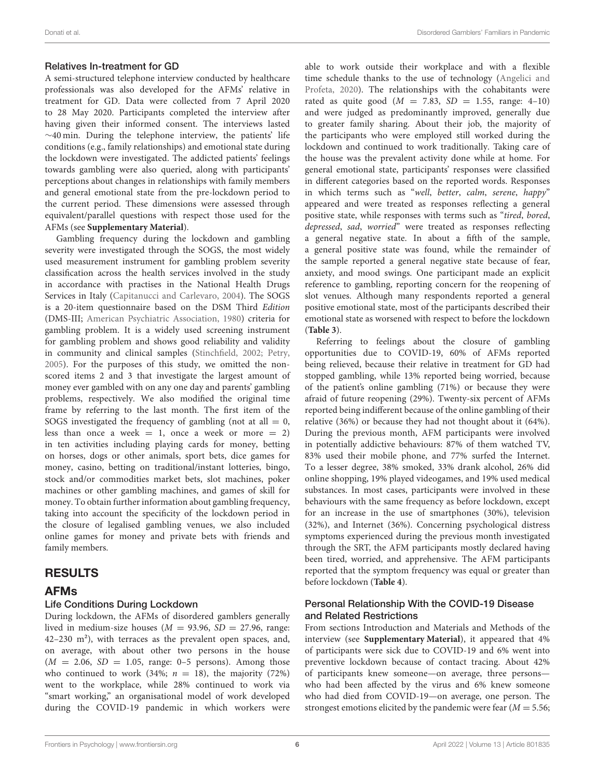## Relatives In-treatment for GD

A semi-structured telephone interview conducted by healthcare professionals was also developed for the AFMs' relative in treatment for GD. Data were collected from 7 April 2020 to 28 May 2020. Participants completed the interview after having given their informed consent. The interviews lasted ∼40 min. During the telephone interview, the patients' life conditions (e.g., family relationships) and emotional state during the lockdown were investigated. The addicted patients' feelings towards gambling were also queried, along with participants' perceptions about changes in relationships with family members and general emotional state from the pre-lockdown period to the current period. These dimensions were assessed through equivalent/parallel questions with respect those used for the AFMs (see **[Supplementary Material](#page-11-4)**).

Gambling frequency during the lockdown and gambling severity were investigated through the SOGS, the most widely used measurement instrument for gambling problem severity classification across the health services involved in the study in accordance with practises in the National Health Drugs Services in Italy [\(Capitanucci and Carlevaro, 2004\)](#page-12-37). The SOGS is a 20-item questionnaire based on the DSM Third Edition (DMS-III; [American Psychiatric Association, 1980\)](#page-11-5) criteria for gambling problem. It is a widely used screening instrument for gambling problem and shows good reliability and validity in community and clinical samples [\(Stinchfield, 2002;](#page-13-11) [Petry,](#page-13-12) [2005\)](#page-13-12). For the purposes of this study, we omitted the nonscored items 2 and 3 that investigate the largest amount of money ever gambled with on any one day and parents' gambling problems, respectively. We also modified the original time frame by referring to the last month. The first item of the SOGS investigated the frequency of gambling (not at all  $= 0$ , less than once a week  $= 1$ , once a week or more  $= 2$ ) in ten activities including playing cards for money, betting on horses, dogs or other animals, sport bets, dice games for money, casino, betting on traditional/instant lotteries, bingo, stock and/or commodities market bets, slot machines, poker machines or other gambling machines, and games of skill for money. To obtain further information about gambling frequency, taking into account the specificity of the lockdown period in the closure of legalised gambling venues, we also included online games for money and private bets with friends and family members.

# RESULTS

## AFMs

## Life Conditions During Lockdown

During lockdown, the AFMs of disordered gamblers generally lived in medium-size houses ( $M = 93.96$ ,  $SD = 27.96$ , range: 42–230 m²), with terraces as the prevalent open spaces, and, on average, with about other two persons in the house  $(M = 2.06, SD = 1.05, range: 0-5 persons).$  Among those who continued to work (34%;  $n = 18$ ), the majority (72%) went to the workplace, while 28% continued to work via "smart working," an organisational model of work developed during the COVID-19 pandemic in which workers were able to work outside their workplace and with a flexible time schedule thanks to the use of technology (Angelici and Profeta, [2020\)](#page-11-6). The relationships with the cohabitants were rated as quite good  $(M = 7.83, SD = 1.55, range: 4-10)$ and were judged as predominantly improved, generally due to greater family sharing. About their job, the majority of the participants who were employed still worked during the lockdown and continued to work traditionally. Taking care of the house was the prevalent activity done while at home. For general emotional state, participants' responses were classified in different categories based on the reported words. Responses in which terms such as "well, better, calm, serene, happy" appeared and were treated as responses reflecting a general positive state, while responses with terms such as "tired, bored, depressed, sad, worried" were treated as responses reflecting a general negative state. In about a fifth of the sample, a general positive state was found, while the remainder of the sample reported a general negative state because of fear, anxiety, and mood swings. One participant made an explicit reference to gambling, reporting concern for the reopening of slot venues. Although many respondents reported a general positive emotional state, most of the participants described their emotional state as worsened with respect to before the lockdown (**[Table 3](#page-6-0)**).

Referring to feelings about the closure of gambling opportunities due to COVID-19, 60% of AFMs reported being relieved, because their relative in treatment for GD had stopped gambling, while 13% reported being worried, because of the patient's online gambling (71%) or because they were afraid of future reopening (29%). Twenty-six percent of AFMs reported being indifferent because of the online gambling of their relative (36%) or because they had not thought about it (64%). During the previous month, AFM participants were involved in potentially addictive behaviours: 87% of them watched TV, 83% used their mobile phone, and 77% surfed the Internet. To a lesser degree, 38% smoked, 33% drank alcohol, 26% did online shopping, 19% played videogames, and 19% used medical substances. In most cases, participants were involved in these behaviours with the same frequency as before lockdown, except for an increase in the use of smartphones (30%), television (32%), and Internet (36%). Concerning psychological distress symptoms experienced during the previous month investigated through the SRT, the AFM participants mostly declared having been tired, worried, and apprehensive. The AFM participants reported that the symptom frequency was equal or greater than before lockdown (**[Table 4](#page-6-1)**).

### Personal Relationship With the COVID-19 Disease and Related Restrictions

From sections Introduction and Materials and Methods of the interview (see **[Supplementary Material](#page-11-4)**), it appeared that 4% of participants were sick due to COVID-19 and 6% went into preventive lockdown because of contact tracing. About 42% of participants knew someone—on average, three persons who had been affected by the virus and 6% knew someone who had died from COVID-19—on average, one person. The strongest emotions elicited by the pandemic were fear  $(M = 5.56;$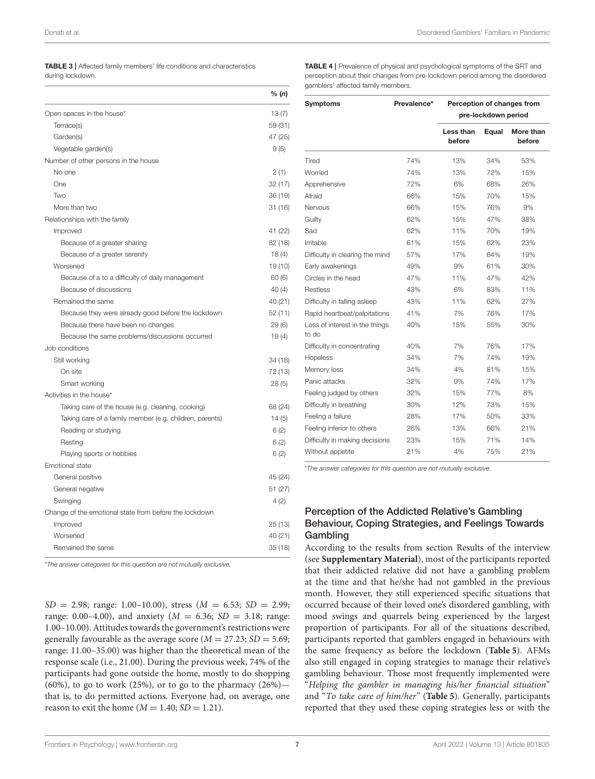<span id="page-6-0"></span>

| <b>TABLE 3</b>   Affected family members' life conditions and characteristics |  |
|-------------------------------------------------------------------------------|--|
|-------------------------------------------------------------------------------|--|

during lockdown.

|                                                         | % $(n)$ |
|---------------------------------------------------------|---------|
| Open spaces in the house*                               | 13(7)   |
| Terrace(s)                                              | 59 (31) |
| Garden(s)                                               | 47 (25) |
| Vegetable garden(s)                                     | 9(5)    |
| Number of other persons in the house                    |         |
| No one                                                  | 2(1)    |
| One                                                     | 32 (17) |
| Two                                                     | 36 (19) |
| More than two                                           | 31 (16) |
| Relationships with the family                           |         |
| Improved                                                | 41 (22) |
| Because of a greater sharing                            | 82 (18) |
| Because of a greater serenity                           | 18(4)   |
| Worsened                                                | 19 (10) |
| Because of a to a difficulty of daily management        | 60(6)   |
| Because of discussions                                  | 40(4)   |
| Remained the same                                       | 40 (21) |
| Because they were already good before the lockdown      | 52 (11) |
| Because there have been no changes                      | 29(6)   |
| Because the same problems/discussions occurred          | 19(4)   |
| Job conditions                                          |         |
| Still working                                           | 34 (18) |
| On site                                                 | 72 (13) |
| Smart working                                           | 28(5)   |
| Activities in the house*                                |         |
| Taking care of the house (e.g. cleaning, cooking)       | 68 (24) |
| Taking care of a family member (e.g. children, parents) | 14(5)   |
| Reading or studying                                     | 6(2)    |
| Resting                                                 | 6(2)    |
| Playing sports or hobbies                               | 6(2)    |
| Emotional state                                         |         |
| General positive                                        | 45 (24) |
| General negative                                        | 51 (27) |
| Swinging                                                | 4(2)    |
| Change of the emotional state from before the lockdown  |         |
| Improved                                                | 25 (13) |
| Worsened                                                | 40 (21) |
| Remained the same                                       | 35 (18) |

\*The answer categories for this question are not mutually exclusive.

 $SD = 2.98$ ; range: 1.00–10.00), stress  $(M = 6.53; SD = 2.99;$ range: 0.00–4.00), and anxiety ( $M = 6.36$ ;  $SD = 3.18$ ; range: 1.00–10.00). Attitudes towards the government's restrictions were generally favourable as the average score ( $M = 27.23$ ;  $SD = 5.69$ ; range: 11.00–35.00) was higher than the theoretical mean of the response scale (i.e., 21.00). During the previous week, 74% of the participants had gone outside the home, mostly to do shopping  $(60\%)$ , to go to work  $(25\%)$ , or to go to the pharmacy  $(26\%)$  that is, to do permitted actions. Everyone had, on average, one reason to exit the home  $(M = 1.40; SD = 1.21)$ .

<span id="page-6-1"></span>TABLE 4 | Prevalence of physical and psychological symptoms of the SRT and perception about their changes from pre-lockdown period among the disordered gamblers' affected family members.

| <b>Symptoms</b>                         | Prevalence* | Perception of changes from<br>pre-lockdown period |       |                     |  |  |
|-----------------------------------------|-------------|---------------------------------------------------|-------|---------------------|--|--|
|                                         |             | Less than<br>before                               | Equal | More than<br>before |  |  |
| Tired                                   | 74%         | 13%                                               | 34%   | 53%                 |  |  |
| Worried                                 | 74%         | 13%                                               | 72%   | 15%                 |  |  |
| Apprehensive                            | 72%         | 6%                                                | 68%   | 26%                 |  |  |
| Afraid                                  | 66%         | 15%                                               | 70%   | 15%                 |  |  |
| Nervous                                 | 66%         | 15%                                               | 76%   | 9%                  |  |  |
| Guilty                                  | 62%         | 15%                                               | 47%   | 38%                 |  |  |
| Sad                                     | 62%         | 11%                                               | 70%   | 19%                 |  |  |
| Irritable                               | 61%         | 15%                                               | 62%   | 23%                 |  |  |
| Difficulty in clearing the mind         | 57%         | 17%                                               | 64%   | 19%                 |  |  |
| Early awakenings                        | 49%         | 9%                                                | 61%   | 30%                 |  |  |
| Circles in the head                     | 47%         | 11%                                               | 47%   | 42%                 |  |  |
| Restless                                | 43%         | 6%                                                | 83%   | 11%                 |  |  |
| Difficulty in falling asleep            | 43%         | 11%                                               | 62%   | 27%                 |  |  |
| Rapid heartbeat/palpitations            | 41%         | 7%                                                | 76%   | 17%                 |  |  |
| Loss of interest in the things<br>to do | 40%         | 15%                                               | 55%   | 30%                 |  |  |
| Difficulty in concentrating             | 40%         | 7%                                                | 76%   | 17%                 |  |  |
| Hopeless                                | 34%         | 7%                                                | 74%   | 19%                 |  |  |
| Memory loss                             | 34%         | 4%                                                | 81%   | 15%                 |  |  |
| Panic attacks                           | 32%         | 9%                                                | 74%   | 17%                 |  |  |
| Feeling judged by others                | 32%         | 15%                                               | 77%   | 8%                  |  |  |
| Difficulty in breathing                 | 30%         | 12%                                               | 73%   | 15%                 |  |  |
| Feeling a failure                       | 28%         | 17%                                               | 50%   | 33%                 |  |  |
| Feeling inferior to others              | 26%         | 13%                                               | 66%   | 21%                 |  |  |
| Difficulty in making decisions          | 23%         | 15%                                               | 71%   | 14%                 |  |  |
| Without appetite                        | 21%         | 4%                                                | 75%   | 21%                 |  |  |

\*The answer categories for this question are not mutually exclusive.

## Perception of the Addicted Relative's Gambling Behaviour, Coping Strategies, and Feelings Towards Gambling

According to the results from section Results of the interview (see **[Supplementary Material](#page-11-4)**), most of the participants reported that their addicted relative did not have a gambling problem at the time and that he/she had not gambled in the previous month. However, they still experienced specific situations that occurred because of their loved one's disordered gambling, with mood swings and quarrels being experienced by the largest proportion of participants. For all of the situations described, participants reported that gamblers engaged in behaviours with the same frequency as before the lockdown (**[Table 5](#page-7-0)**). AFMs also still engaged in coping strategies to manage their relative's gambling behaviour. Those most frequently implemented were "Helping the gambler in managing his/her financial situation" and "To take care of him/her" (**[Table 5](#page-7-0)**). Generally, participants reported that they used these coping strategies less or with the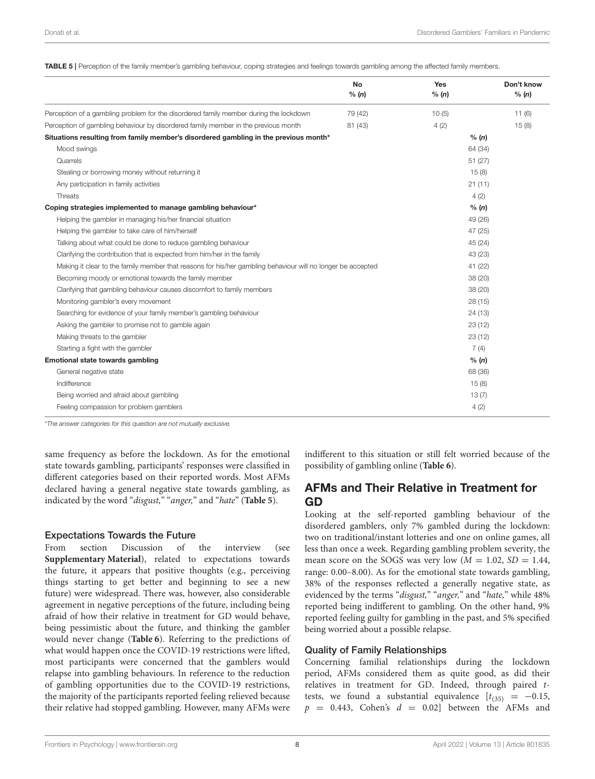<span id="page-7-0"></span>TABLE 5 | Perception of the family member's gambling behaviour, coping strategies and feelings towards gambling among the affected family members.

|                                                                                                             | <b>No</b><br>% (n) | Yes<br>% (n) | Don't know<br>% (n) |
|-------------------------------------------------------------------------------------------------------------|--------------------|--------------|---------------------|
| Perception of a gambling problem for the disordered family member during the lockdown                       | 79 (42)            | 10(5)        | 11(6)               |
| Perception of gambling behaviour by disordered family member in the previous month                          | 81 (43)            | 4(2)         | 15(8)               |
| Situations resulting from family member's disordered gambling in the previous month*                        |                    | % (n)        |                     |
| Mood swings                                                                                                 |                    | 64 (34)      |                     |
| Quarrels                                                                                                    |                    | 51 (27)      |                     |
| Stealing or borrowing money without returning it                                                            |                    | 15(8)        |                     |
| Any participation in family activities                                                                      |                    | 21(11)       |                     |
| Threats                                                                                                     |                    | 4(2)         |                     |
| Coping strategies implemented to manage gambling behaviour*                                                 |                    | % (n)        |                     |
| Helping the gambler in managing his/her financial situation                                                 |                    | 49 (26)      |                     |
| Helping the gambler to take care of him/herself                                                             |                    | 47 (25)      |                     |
| Talking about what could be done to reduce gambling behaviour                                               |                    | 45 (24)      |                     |
| Clarifying the contribution that is expected from him/her in the family                                     |                    | 43 (23)      |                     |
| Making it clear to the family member that reasons for his/her gambling behaviour will no longer be accepted |                    | 41 (22)      |                     |
| Becoming moody or emotional towards the family member                                                       |                    | 38 (20)      |                     |
| Clarifying that gambling behaviour causes discomfort to family members                                      |                    | 38 (20)      |                     |
| Monitoring gambler's every movement                                                                         |                    | 28(15)       |                     |
| Searching for evidence of your family member's gambling behaviour                                           |                    | 24(13)       |                     |
| Asking the gambler to promise not to gamble again                                                           |                    | 23(12)       |                     |
| Making threats to the gambler                                                                               |                    | 23(12)       |                     |
| Starting a fight with the gambler                                                                           |                    | 7(4)         |                     |
| Emotional state towards gambling                                                                            |                    | % (n)        |                     |
| General negative state                                                                                      |                    | 68 (36)      |                     |
| Indifference                                                                                                |                    | 15(8)        |                     |
| Being worried and afraid about gambling                                                                     |                    | 13(7)        |                     |
| Feeling compassion for problem gamblers                                                                     |                    | 4(2)         |                     |
|                                                                                                             |                    |              |                     |

\*The answer categories for this question are not mutually exclusive.

same frequency as before the lockdown. As for the emotional state towards gambling, participants' responses were classified in different categories based on their reported words. Most AFMs declared having a general negative state towards gambling, as indicated by the word "disgust," "anger," and "hate" (**[Table 5](#page-7-0)**).

#### Expectations Towards the Future

From section Discussion of the interview (see **[Supplementary Material](#page-11-4)**), related to expectations towards the future, it appears that positive thoughts (e.g., perceiving things starting to get better and beginning to see a new future) were widespread. There was, however, also considerable agreement in negative perceptions of the future, including being afraid of how their relative in treatment for GD would behave, being pessimistic about the future, and thinking the gambler would never change (**[Table 6](#page-8-0)**). Referring to the predictions of what would happen once the COVID-19 restrictions were lifted, most participants were concerned that the gamblers would relapse into gambling behaviours. In reference to the reduction of gambling opportunities due to the COVID-19 restrictions, the majority of the participants reported feeling relieved because their relative had stopped gambling. However, many AFMs were indifferent to this situation or still felt worried because of the possibility of gambling online (**[Table 6](#page-8-0)**).

## AFMs and Their Relative in Treatment for GD

Looking at the self-reported gambling behaviour of the disordered gamblers, only 7% gambled during the lockdown: two on traditional/instant lotteries and one on online games, all less than once a week. Regarding gambling problem severity, the mean score on the SOGS was very low  $(M = 1.02, SD = 1.44,$ range: 0.00–8.00). As for the emotional state towards gambling, 38% of the responses reflected a generally negative state, as evidenced by the terms "disgust," "anger," and "hate," while 48% reported being indifferent to gambling. On the other hand, 9% reported feeling guilty for gambling in the past, and 5% specified being worried about a possible relapse.

### Quality of Family Relationships

Concerning familial relationships during the lockdown period, AFMs considered them as quite good, as did their relatives in treatment for GD. Indeed, through paired ttests, we found a substantial equivalence  $[t_{(35)} = -0.15,$  $p = 0.443$ , Cohen's  $d = 0.02$ ] between the AFMs and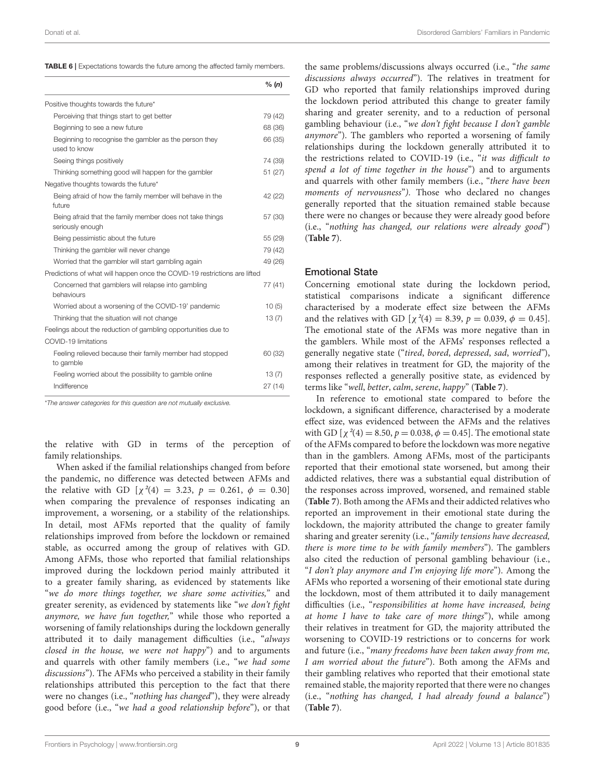| Donati et al. | Disordered Gamblers' Familiars in Pandemic |
|---------------|--------------------------------------------|
|               |                                            |

<span id="page-8-0"></span>

|                                                                              | % (n)            |
|------------------------------------------------------------------------------|------------------|
| Positive thoughts towards the future*                                        |                  |
| Perceiving that things start to get better                                   | 79 (42)          |
| Beginning to see a new future                                                | 68 (36)          |
| Beginning to recognise the gambler as the person they<br>used to know        | 66 (35)          |
| Seeing things positively                                                     | 74 (39)          |
| Thinking something good will happen for the gambler                          | 51 (27)          |
| Negative thoughts towards the future*                                        |                  |
| Being afraid of how the family member will behave in the<br>future           | 42 (22)          |
| Being afraid that the family member does not take things<br>seriously enough | 57 (30)          |
| Being pessimistic about the future                                           | 55 (29)          |
| Thinking the gambler will never change                                       | 79 (42)          |
| Worried that the gambler will start gambling again                           | 49 (26)          |
| Predictions of what will happen once the COVID-19 restrictions are lifted    |                  |
| Concerned that gamblers will relapse into gambling<br>behaviours             | 77 (41)          |
| Worried about a worsening of the COVID-19' pandemic                          | 10(5)            |
| Thinking that the situation will not change                                  | 13(7)            |
| Feelings about the reduction of gambling opportunities due to                |                  |
| COVID-19 limitations                                                         |                  |
| Feeling relieved because their family member had stopped<br>to gamble        | 60 (32)          |
| Feeling worried about the possibility to gamble online<br>Indifference       | 13(7)<br>27 (14) |

\*The answer categories for this question are not mutually exclusive.

the relative with GD in terms of the perception of family relationships.

When asked if the familial relationships changed from before the pandemic, no difference was detected between AFMs and the relative with GD  $[\chi^2(4) = 3.23, p = 0.261, \phi = 0.30]$ when comparing the prevalence of responses indicating an improvement, a worsening, or a stability of the relationships. In detail, most AFMs reported that the quality of family relationships improved from before the lockdown or remained stable, as occurred among the group of relatives with GD. Among AFMs, those who reported that familial relationships improved during the lockdown period mainly attributed it to a greater family sharing, as evidenced by statements like "we do more things together, we share some activities," and greater serenity, as evidenced by statements like "we don't fight anymore, we have fun together," while those who reported a worsening of family relationships during the lockdown generally attributed it to daily management difficulties (i.e., "always closed in the house, we were not happy") and to arguments and quarrels with other family members (i.e., "we had some discussions"). The AFMs who perceived a stability in their family relationships attributed this perception to the fact that there were no changes (i.e., "nothing has changed"), they were already good before (i.e., "we had a good relationship before"), or that the same problems/discussions always occurred (i.e., "the same discussions always occurred"). The relatives in treatment for GD who reported that family relationships improved during the lockdown period attributed this change to greater family sharing and greater serenity, and to a reduction of personal gambling behaviour (i.e., "we don't fight because I don't gamble anymore"). The gamblers who reported a worsening of family relationships during the lockdown generally attributed it to the restrictions related to COVID-19 (i.e., "it was difficult to spend a lot of time together in the house") and to arguments and quarrels with other family members (i.e., "there have been moments of nervousness"). Those who declared no changes generally reported that the situation remained stable because there were no changes or because they were already good before (i.e., "nothing has changed, our relations were already good") (**[Table 7](#page-9-0)**).

#### Emotional State

Concerning emotional state during the lockdown period, statistical comparisons indicate a significant difference characterised by a moderate effect size between the AFMs and the relatives with GD  $[\chi^2(4) = 8.39, p = 0.039, \phi = 0.45]$ . The emotional state of the AFMs was more negative than in the gamblers. While most of the AFMs' responses reflected a generally negative state ("tired, bored, depressed, sad, worried"), among their relatives in treatment for GD, the majority of the responses reflected a generally positive state, as evidenced by terms like "well, better, calm, serene, happy" (**[Table 7](#page-9-0)**).

In reference to emotional state compared to before the lockdown, a significant difference, characterised by a moderate effect size, was evidenced between the AFMs and the relatives with GD  $[\chi^2(4) = 8.50, p = 0.038, \phi = 0.45]$ . The emotional state of the AFMs compared to before the lockdown was more negative than in the gamblers. Among AFMs, most of the participants reported that their emotional state worsened, but among their addicted relatives, there was a substantial equal distribution of the responses across improved, worsened, and remained stable (**[Table 7](#page-9-0)**). Both among the AFMs and their addicted relatives who reported an improvement in their emotional state during the lockdown, the majority attributed the change to greater family sharing and greater serenity (i.e., "family tensions have decreased, there is more time to be with family members"). The gamblers also cited the reduction of personal gambling behaviour (i.e., "I don't play anymore and I'm enjoying life more"). Among the AFMs who reported a worsening of their emotional state during the lockdown, most of them attributed it to daily management difficulties (i.e., "responsibilities at home have increased, being at home I have to take care of more things"), while among their relatives in treatment for GD, the majority attributed the worsening to COVID-19 restrictions or to concerns for work and future (i.e., "many freedoms have been taken away from me, I am worried about the future"). Both among the AFMs and their gambling relatives who reported that their emotional state remained stable, the majority reported that there were no changes (i.e., "nothing has changed, I had already found a balance") (**[Table 7](#page-9-0)**).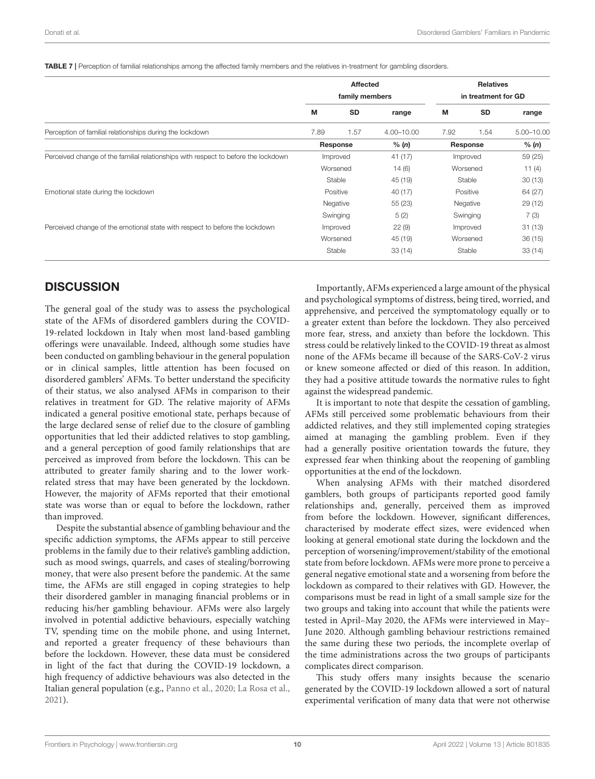<span id="page-9-0"></span>TABLE 7 | Perception of familial relationships among the affected family members and the relatives in-treatment for gambling disorders.

|                                                                                    | Affected<br>family members |           | <b>Relatives</b><br>in treatment for GD |          |          |            |       |          |  |       |
|------------------------------------------------------------------------------------|----------------------------|-----------|-----------------------------------------|----------|----------|------------|-------|----------|--|-------|
|                                                                                    | М                          | <b>SD</b> | range                                   | M        | SD       | range      |       |          |  |       |
| Perception of familial relationships during the lockdown                           | 7.89                       | 1.57      | 4.00-10.00                              | 7.92     | 1.54     | 5.00-10.00 |       |          |  |       |
|                                                                                    | Response                   |           |                                         |          |          |            | % (n) | Response |  | % (n) |
| Perceived change of the familial relationships with respect to before the lockdown | Improved                   |           | 41 (17)                                 | Improved |          | 59 (25)    |       |          |  |       |
|                                                                                    |                            | Worsened  | 14(6)                                   |          | Worsened | 11(4)      |       |          |  |       |
|                                                                                    | Stable                     |           | 45 (19)                                 | Stable   |          | 30(13)     |       |          |  |       |
| Emotional state during the lockdown                                                |                            | Positive  | 40 (17)                                 |          | Positive | 64 (27)    |       |          |  |       |
|                                                                                    | Negative                   |           | 55(23)                                  | Negative |          | 29(12)     |       |          |  |       |
|                                                                                    | Swinging                   |           | 5(2)                                    |          | Swinging |            |       |          |  |       |
| Perceived change of the emotional state with respect to before the lockdown        | Improved                   |           |                                         |          | 22(9)    | Improved   |       | 31(13)   |  |       |
|                                                                                    | Worsened                   |           | 45 (19)                                 |          | Worsened |            |       |          |  |       |
|                                                                                    | Stable                     |           | 33(14)                                  | Stable   |          | 33(14)     |       |          |  |       |

# **DISCUSSION**

The general goal of the study was to assess the psychological state of the AFMs of disordered gamblers during the COVID-19-related lockdown in Italy when most land-based gambling offerings were unavailable. Indeed, although some studies have been conducted on gambling behaviour in the general population or in clinical samples, little attention has been focused on disordered gamblers' AFMs. To better understand the specificity of their status, we also analysed AFMs in comparison to their relatives in treatment for GD. The relative majority of AFMs indicated a general positive emotional state, perhaps because of the large declared sense of relief due to the closure of gambling opportunities that led their addicted relatives to stop gambling, and a general perception of good family relationships that are perceived as improved from before the lockdown. This can be attributed to greater family sharing and to the lower workrelated stress that may have been generated by the lockdown. However, the majority of AFMs reported that their emotional state was worse than or equal to before the lockdown, rather than improved.

Despite the substantial absence of gambling behaviour and the specific addiction symptoms, the AFMs appear to still perceive problems in the family due to their relative's gambling addiction, such as mood swings, quarrels, and cases of stealing/borrowing money, that were also present before the pandemic. At the same time, the AFMs are still engaged in coping strategies to help their disordered gambler in managing financial problems or in reducing his/her gambling behaviour. AFMs were also largely involved in potential addictive behaviours, especially watching TV, spending time on the mobile phone, and using Internet, and reported a greater frequency of these behaviours than before the lockdown. However, these data must be considered in light of the fact that during the COVID-19 lockdown, a high frequency of addictive behaviours was also detected in the Italian general population (e.g., [Panno et al., 2020;](#page-13-13) [La Rosa et al.,](#page-12-38) [2021\)](#page-12-38).

Importantly, AFMs experienced a large amount of the physical and psychological symptoms of distress, being tired, worried, and apprehensive, and perceived the symptomatology equally or to a greater extent than before the lockdown. They also perceived more fear, stress, and anxiety than before the lockdown. This stress could be relatively linked to the COVID-19 threat as almost none of the AFMs became ill because of the SARS-CoV-2 virus or knew someone affected or died of this reason. In addition, they had a positive attitude towards the normative rules to fight against the widespread pandemic.

It is important to note that despite the cessation of gambling, AFMs still perceived some problematic behaviours from their addicted relatives, and they still implemented coping strategies aimed at managing the gambling problem. Even if they had a generally positive orientation towards the future, they expressed fear when thinking about the reopening of gambling opportunities at the end of the lockdown.

When analysing AFMs with their matched disordered gamblers, both groups of participants reported good family relationships and, generally, perceived them as improved from before the lockdown. However, significant differences, characterised by moderate effect sizes, were evidenced when looking at general emotional state during the lockdown and the perception of worsening/improvement/stability of the emotional state from before lockdown. AFMs were more prone to perceive a general negative emotional state and a worsening from before the lockdown as compared to their relatives with GD. However, the comparisons must be read in light of a small sample size for the two groups and taking into account that while the patients were tested in April–May 2020, the AFMs were interviewed in May– June 2020. Although gambling behaviour restrictions remained the same during these two periods, the incomplete overlap of the time administrations across the two groups of participants complicates direct comparison.

This study offers many insights because the scenario generated by the COVID-19 lockdown allowed a sort of natural experimental verification of many data that were not otherwise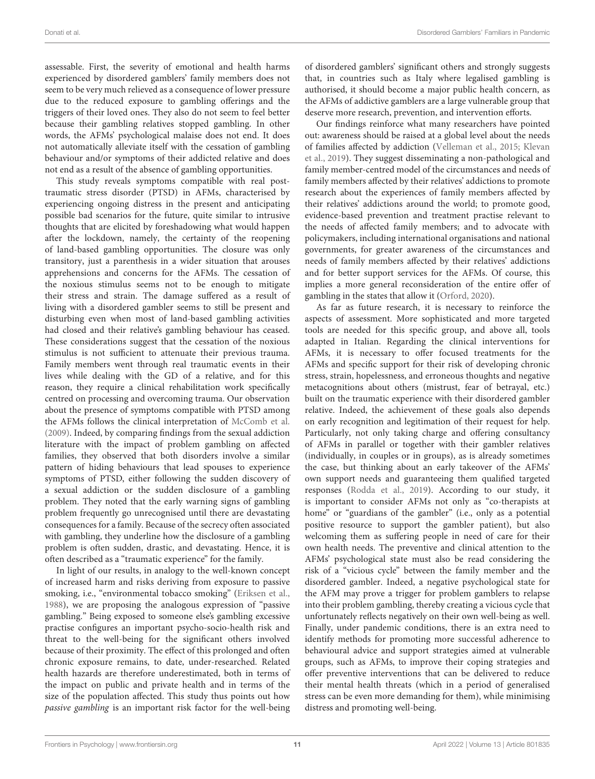assessable. First, the severity of emotional and health harms experienced by disordered gamblers' family members does not seem to be very much relieved as a consequence of lower pressure due to the reduced exposure to gambling offerings and the triggers of their loved ones. They also do not seem to feel better because their gambling relatives stopped gambling. In other words, the AFMs' psychological malaise does not end. It does not automatically alleviate itself with the cessation of gambling behaviour and/or symptoms of their addicted relative and does not end as a result of the absence of gambling opportunities.

This study reveals symptoms compatible with real posttraumatic stress disorder (PTSD) in AFMs, characterised by experiencing ongoing distress in the present and anticipating possible bad scenarios for the future, quite similar to intrusive thoughts that are elicited by foreshadowing what would happen after the lockdown, namely, the certainty of the reopening of land-based gambling opportunities. The closure was only transitory, just a parenthesis in a wider situation that arouses apprehensions and concerns for the AFMs. The cessation of the noxious stimulus seems not to be enough to mitigate their stress and strain. The damage suffered as a result of living with a disordered gambler seems to still be present and disturbing even when most of land-based gambling activities had closed and their relative's gambling behaviour has ceased. These considerations suggest that the cessation of the noxious stimulus is not sufficient to attenuate their previous trauma. Family members went through real traumatic events in their lives while dealing with the GD of a relative, and for this reason, they require a clinical rehabilitation work specifically centred on processing and overcoming trauma. Our observation about the presence of symptoms compatible with PTSD among the AFMs follows the clinical interpretation of [McComb et al.](#page-13-14) [\(2009\)](#page-13-14). Indeed, by comparing findings from the sexual addiction literature with the impact of problem gambling on affected families, they observed that both disorders involve a similar pattern of hiding behaviours that lead spouses to experience symptoms of PTSD, either following the sudden discovery of a sexual addiction or the sudden disclosure of a gambling problem. They noted that the early warning signs of gambling problem frequently go unrecognised until there are devastating consequences for a family. Because of the secrecy often associated with gambling, they underline how the disclosure of a gambling problem is often sudden, drastic, and devastating. Hence, it is often described as a "traumatic experience" for the family.

In light of our results, in analogy to the well-known concept of increased harm and risks deriving from exposure to passive smoking, i.e., "environmental tobacco smoking" [\(Eriksen et al.,](#page-12-39) [1988\)](#page-12-39), we are proposing the analogous expression of "passive gambling." Being exposed to someone else's gambling excessive practise configures an important psycho-socio-health risk and threat to the well-being for the significant others involved because of their proximity. The effect of this prolonged and often chronic exposure remains, to date, under-researched. Related health hazards are therefore underestimated, both in terms of the impact on public and private health and in terms of the size of the population affected. This study thus points out how passive gambling is an important risk factor for the well-being of disordered gamblers' significant others and strongly suggests that, in countries such as Italy where legalised gambling is authorised, it should become a major public health concern, as the AFMs of addictive gamblers are a large vulnerable group that deserve more research, prevention, and intervention efforts.

Our findings reinforce what many researchers have pointed out: awareness should be raised at a global level about the needs of families affected by addiction [\(Velleman et al., 2015;](#page-13-15) Klevan et al., [2019\)](#page-12-29). They suggest disseminating a non-pathological and family member-centred model of the circumstances and needs of family members affected by their relatives' addictions to promote research about the experiences of family members affected by their relatives' addictions around the world; to promote good, evidence-based prevention and treatment practise relevant to the needs of affected family members; and to advocate with policymakers, including international organisations and national governments, for greater awareness of the circumstances and needs of family members affected by their relatives' addictions and for better support services for the AFMs. Of course, this implies a more general reconsideration of the entire offer of gambling in the states that allow it [\(Orford, 2020\)](#page-13-16).

As far as future research, it is necessary to reinforce the aspects of assessment. More sophisticated and more targeted tools are needed for this specific group, and above all, tools adapted in Italian. Regarding the clinical interventions for AFMs, it is necessary to offer focused treatments for the AFMs and specific support for their risk of developing chronic stress, strain, hopelessness, and erroneous thoughts and negative metacognitions about others (mistrust, fear of betrayal, etc.) built on the traumatic experience with their disordered gambler relative. Indeed, the achievement of these goals also depends on early recognition and legitimation of their request for help. Particularly, not only taking charge and offering consultancy of AFMs in parallel or together with their gambler relatives (individually, in couples or in groups), as is already sometimes the case, but thinking about an early takeover of the AFMs' own support needs and guaranteeing them qualified targeted responses [\(Rodda et al., 2019\)](#page-13-17). According to our study, it is important to consider AFMs not only as "co-therapists at home" or "guardians of the gambler" (i.e., only as a potential positive resource to support the gambler patient), but also welcoming them as suffering people in need of care for their own health needs. The preventive and clinical attention to the AFMs' psychological state must also be read considering the risk of a "vicious cycle" between the family member and the disordered gambler. Indeed, a negative psychological state for the AFM may prove a trigger for problem gamblers to relapse into their problem gambling, thereby creating a vicious cycle that unfortunately reflects negatively on their own well-being as well. Finally, under pandemic conditions, there is an extra need to identify methods for promoting more successful adherence to behavioural advice and support strategies aimed at vulnerable groups, such as AFMs, to improve their coping strategies and offer preventive interventions that can be delivered to reduce their mental health threats (which in a period of generalised stress can be even more demanding for them), while minimising distress and promoting well-being.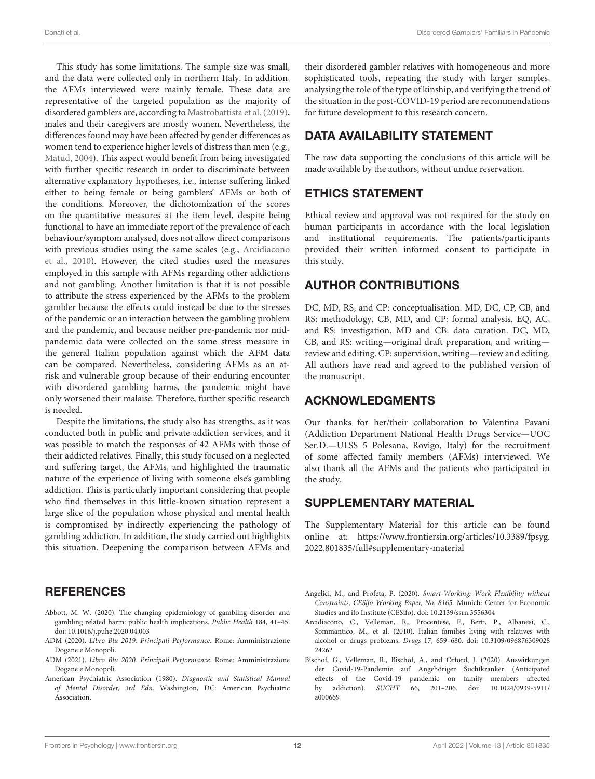This study has some limitations. The sample size was small, and the data were collected only in northern Italy. In addition, the AFMs interviewed were mainly female. These data are representative of the targeted population as the majority of disordered gamblers are, according to [Mastrobattista et al. \(2019\)](#page-13-0), males and their caregivers are mostly women. Nevertheless, the differences found may have been affected by gender differences as women tend to experience higher levels of distress than men (e.g., [Matud, 2004\)](#page-13-18). This aspect would benefit from being investigated with further specific research in order to discriminate between alternative explanatory hypotheses, i.e., intense suffering linked either to being female or being gamblers' AFMs or both of the conditions. Moreover, the dichotomization of the scores on the quantitative measures at the item level, despite being functional to have an immediate report of the prevalence of each behaviour/symptom analysed, does not allow direct comparisons with previous studies using the same scales (e.g., Arcidiacono et al., [2010\)](#page-11-7). However, the cited studies used the measures employed in this sample with AFMs regarding other addictions and not gambling. Another limitation is that it is not possible to attribute the stress experienced by the AFMs to the problem gambler because the effects could instead be due to the stresses of the pandemic or an interaction between the gambling problem and the pandemic, and because neither pre-pandemic nor midpandemic data were collected on the same stress measure in the general Italian population against which the AFM data can be compared. Nevertheless, considering AFMs as an atrisk and vulnerable group because of their enduring encounter with disordered gambling harms, the pandemic might have only worsened their malaise. Therefore, further specific research is needed.

Despite the limitations, the study also has strengths, as it was conducted both in public and private addiction services, and it was possible to match the responses of 42 AFMs with those of their addicted relatives. Finally, this study focused on a neglected and suffering target, the AFMs, and highlighted the traumatic nature of the experience of living with someone else's gambling addiction. This is particularly important considering that people who find themselves in this little-known situation represent a large slice of the population whose physical and mental health is compromised by indirectly experiencing the pathology of gambling addiction. In addition, the study carried out highlights this situation. Deepening the comparison between AFMs and their disordered gambler relatives with homogeneous and more sophisticated tools, repeating the study with larger samples, analysing the role of the type of kinship, and verifying the trend of the situation in the post-COVID-19 period are recommendations for future development to this research concern.

## DATA AVAILABILITY STATEMENT

The raw data supporting the conclusions of this article will be made available by the authors, without undue reservation.

# ETHICS STATEMENT

Ethical review and approval was not required for the study on human participants in accordance with the local legislation and institutional requirements. The patients/participants provided their written informed consent to participate in this study.

## AUTHOR CONTRIBUTIONS

DC, MD, RS, and CP: conceptualisation. MD, DC, CP, CB, and RS: methodology. CB, MD, and CP: formal analysis. EQ, AC, and RS: investigation. MD and CB: data curation. DC, MD, CB, and RS: writing—original draft preparation, and writing review and editing. CP: supervision, writing—review and editing. All authors have read and agreed to the published version of the manuscript.

## ACKNOWLEDGMENTS

Our thanks for her/their collaboration to Valentina Pavani (Addiction Department National Health Drugs Service—UOC Ser.D.—ULSS 5 Polesana, Rovigo, Italy) for the recruitment of some affected family members (AFMs) interviewed. We also thank all the AFMs and the patients who participated in the study.

# SUPPLEMENTARY MATERIAL

<span id="page-11-4"></span>The Supplementary Material for this article can be found [online at: https://www.frontiersin.org/articles/10.3389/fpsyg.](https://www.frontiersin.org/articles/10.3389/fpsyg.2022.801835/full#supplementary-material) 2022.801835/full#supplementary-material

## **REFERENCES**

- <span id="page-11-2"></span>Abbott, M. W. (2020). The changing epidemiology of gambling disorder and gambling related harm: public health implications. Public Health 184, 41–45. doi: [10.1016/j.puhe.2020.04.003](https://doi.org/10.1016/j.puhe.2020.04.003)
- <span id="page-11-0"></span>ADM (2020). Libro Blu 2019. Principali Performance. Rome: Amministrazione Dogane e Monopoli.
- <span id="page-11-1"></span>ADM (2021). Libro Blu 2020. Principali Performance. Rome: Amministrazione Dogane e Monopoli.
- <span id="page-11-5"></span>American Psychiatric Association (1980). Diagnostic and Statistical Manual of Mental Disorder, 3rd Edn. Washington, DC: American Psychiatric Association.
- <span id="page-11-6"></span>Angelici, M., and Profeta, P. (2020). Smart-Working: Work Flexibility without Constraints, CESifo Working Paper, No. 8165. Munich: Center for Economic Studies and ifo Institute (CESifo). doi: [10.2139/ssrn.3556304](https://doi.org/10.2139/ssrn.3556304)
- <span id="page-11-7"></span>Arcidiacono, C., Velleman, R., Procentese, F., Berti, P., Albanesi, C., Sommantico, M., et al. (2010). Italian families living with relatives with alcohol or drugs problems. Drugs [17, 659–680. doi: 10.3109/096876309028](https://doi.org/10.3109/09687630902824262) 24262
- <span id="page-11-3"></span>Bischof, G., Velleman, R., Bischof, A., and Orford, J. (2020). Auswirkungen der Covid-19-Pandemie auf Angehöriger Suchtkranker (Anticipated effects of the Covid-19 pandemic on family members affected by addiction). SUCHT [66, 201–206. doi: 10.1024/0939-5911/](https://doi.org/10.1024/0939-5911/a000669) a000669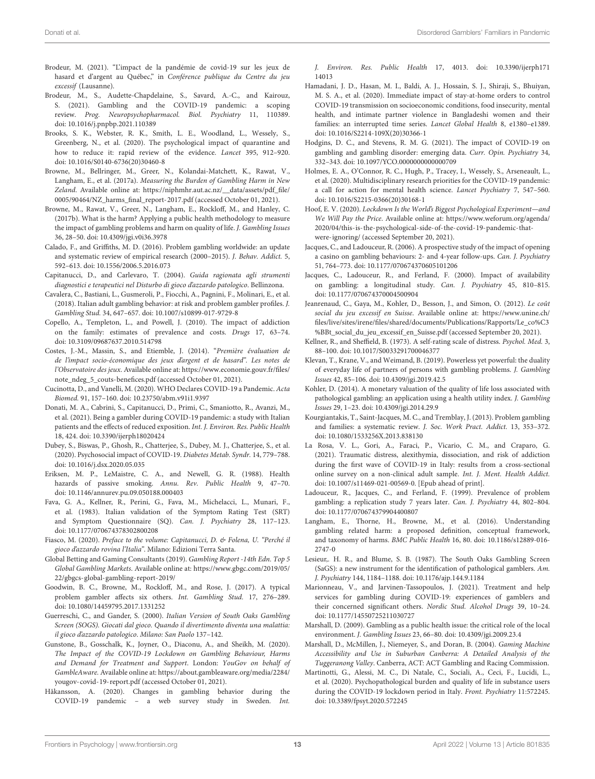- <span id="page-12-28"></span>Brodeur, M. (2021). "L'impact de la pandémie de covid-19 sur les jeux de hasard et d'argent au Québec," in Conférence publique du Centre du jeu excessif (Lausanne).
- <span id="page-12-17"></span>Brodeur, M., S., Audette-Chapdelaine, S., Savard, A.-C., and Kairouz, S. (2021). Gambling and the COVID-19 pandemic: a scoping review. Prog. Neuropsychopharmacol. Biol. Psychiatry 11, 110389. doi: [10.1016/j.pnpbp.2021.110389](https://doi.org/10.1016/j.pnpbp.2021.110389)
- <span id="page-12-32"></span>Brooks, S. K., Webster, R. K., Smith, L. E., Woodland, L., Wessely, S., Greenberg, N., et al. (2020). The psychological impact of quarantine and how to reduce it: rapid review of the evidence. Lancet 395, 912–920. doi: [10.1016/S0140-6736\(20\)30460-8](https://doi.org/10.1016/S0140-6736(20)30460-8)
- <span id="page-12-8"></span>Browne, M., Bellringer, M., Greer, N., Kolandai-Matchett, K., Rawat, V., Langham, E., et al. (2017a). Measuring the Burden of Gambling Harm in New Zeland. Available online at: [https://niphmhr.aut.ac.nz/\\_\\_data/assets/pdf\\_file/](https://niphmhr.aut.ac.nz/__data/assets/pdf_file/0005/90464/NZ_harms_final_report-2017.pdf) [0005/90464/NZ\\_harms\\_final\\_report-2017.pdf](https://niphmhr.aut.ac.nz/__data/assets/pdf_file/0005/90464/NZ_harms_final_report-2017.pdf) (accessed October 01, 2021).
- <span id="page-12-9"></span>Browne, M., Rawat, V., Greer, N., Langham, E., Rockloff, M., and Hanley, C. (2017b). What is the harm? Applying a public health methodology to measure the impact of gambling problems and harm on quality of life. J. Gambling Issues 36, 28–50. doi: [10.4309/jgi.v0i36.3978](https://doi.org/10.4309/jgi.v0i36.3978)
- <span id="page-12-1"></span>Calado, F., and Griffiths, M. D. (2016). Problem gambling worldwide: an update and systematic review of empirical research (2000–2015). J. Behav. Addict. 5, 592–613. doi: [10.1556/2006.5.2016.073](https://doi.org/10.1556/2006.5.2016.073)
- <span id="page-12-37"></span>Capitanucci, D., and Carlevaro, T. (2004). Guida ragionata agli strumenti diagnostici e terapeutici nel Disturbo di gioco d'azzardo patologico. Bellinzona.
- <span id="page-12-2"></span>Cavalera, C., Bastiani, L., Gusmeroli, P., Fiocchi, A., Pagnini, F., Molinari, E., et al. (2018). Italian adult gambling behavior: at risk and problem gambler profiles. J. Gambling Stud. 34, 647–657. doi: [10.1007/s10899-017-9729-8](https://doi.org/10.1007/s10899-017-9729-8)
- <span id="page-12-23"></span>Copello, A., Templeton, L., and Powell, J. (2010). The impact of addiction on the family: estimates of prevalence and costs. Drugs 17, 63–74. doi: [10.3109/09687637.2010.514798](https://doi.org/10.3109/09687637.2010.514798)
- <span id="page-12-6"></span>Costes, J.-M., Massin, S., and Etiemble, J. (2014). "Première évaluation de de l'impact socio-économique des jeux d'argent et de hasard". Les notes de l'Observatoire des jeux. Available online at: [https://www.economie.gouv.fr/files/](https://www.economie.gouv.fr/files/note_ndeg_5_couts-benefices.pdf) [note\\_ndeg\\_5\\_couts-benefices.pdf](https://www.economie.gouv.fr/files/note_ndeg_5_couts-benefices.pdf) (accessed October 01, 2021).
- <span id="page-12-14"></span>Cucinotta, D., and Vanelli, M. (2020). WHO Declares COVID-19 a Pandemic. Acta Biomed. 91, 157–160. doi: [10.23750/abm.v91i1.9397](https://doi.org/10.23750/abm.v91i1.9397)
- <span id="page-12-22"></span>Donati, M. A., Cabrini, S., Capitanucci, D., Primi, C., Smaniotto, R., Avanzi, M., et al. (2021). Being a gambler during COVID-19 pandemic: a study with Italian patients and the effects of reduced exposition. Int. J. Environ. Res. Public Health 18, 424. doi: [10.3390/ijerph18020424](https://doi.org/10.3390/ijerph18020424)
- <span id="page-12-30"></span>Dubey, S., Biswas, P., Ghosh, R., Chatterjee, S., Dubey, M. J., Chatterjee, S., et al. (2020). Psychosocial impact of COVID-19. Diabetes Metab. Syndr. 14, 779–788. doi: [10.1016/j.dsx.2020.05.035](https://doi.org/10.1016/j.dsx.2020.05.035)
- <span id="page-12-39"></span>Eriksen, M. P., LeMaistre, C. A., and Newell, G. R. (1988). Health hazards of passive smoking. Annu. Rev. Public Health 9, 47–70. doi: [10.1146/annurev.pu.09.050188.000403](https://doi.org/10.1146/annurev.pu.09.050188.000403)
- <span id="page-12-36"></span>Fava, G. A., Kellner, R., Perini, G., Fava, M., Michelacci, L., Munari, F., et al. (1983). Italian validation of the Symptom Rating Test (SRT) and Symptom Questionnaire (SQ). Can. J. Psychiatry 28, 117–123. doi: [10.1177/070674378302800208](https://doi.org/10.1177/070674378302800208)
- <span id="page-12-4"></span>Fiasco, M. (2020). Preface to the volume: Capitanucci, D. & Folena, U. "Perché il gioco d'azzardo rovina l'Italia". Milano: Edizioni Terra Santa.
- <span id="page-12-0"></span>Global Betting and Gaming Consultants (2019). Gambling Report -14th Edn. Top 5 Global Gambling Markets. Available online at: [https://www.gbgc.com/2019/05/](https://www.gbgc.com/2019/05/22/gbgcs-global-gambling-report-2019/) [22/gbgcs-global-gambling-report-2019/](https://www.gbgc.com/2019/05/22/gbgcs-global-gambling-report-2019/)
- <span id="page-12-25"></span>Goodwin, B. C., Browne, M., Rockloff, M., and Rose, J. (2017). A typical problem gambler affects six others. Int. Gambling Stud. 17, 276–289. doi: [10.1080/14459795.2017.1331252](https://doi.org/10.1080/14459795.2017.1331252)
- <span id="page-12-34"></span>Guerreschi, C., and Gander, S. (2000). Italian Version of South Oaks Gambling Screen (SOGS). Giocati dal gioco. Quando il divertimento diventa una malattia: il gioco d'azzardo patologico. Milano: San Paolo 137–142.
- <span id="page-12-19"></span>Gunstone, B., Gosschalk, K., Joyner, O., Diaconu, A., and Sheikh, M. (2020). The Impact of the COVID-19 Lockdown on Gambling Behaviour, Harms and Demand for Treatment and Support. London: YouGov on behalf of GambleAware. Available online at: [https://about.gambleaware.org/media/2284/](https://about.gambleaware.org/media/2284/yougov-covid-19-report.pdf) [yougov-covid-19-report.pdf](https://about.gambleaware.org/media/2284/yougov-covid-19-report.pdf) (accessed October 01, 2021).
- <span id="page-12-20"></span>Håkansson, A. (2020). Changes in gambling behavior during the COVID-19 pandemic – a web survey study in Sweden. Int.

J. Environ. Res. Public Health [17, 4013. doi: 10.3390/ijerph171](https://doi.org/10.3390/ijerph17114013) 14013

- <span id="page-12-31"></span>Hamadani, J. D., Hasan, M. I., Baldi, A. J., Hossain, S. J., Shiraji, S., Bhuiyan, M. S. A., et al. (2020). Immediate impact of stay-at-home orders to control COVID-19 transmission on socioeconomic conditions, food insecurity, mental health, and intimate partner violence in Bangladeshi women and their families: an interrupted time series. Lancet Global Health 8, e1380–e1389. doi: [10.1016/S2214-109X\(20\)30366-1](https://doi.org/10.1016/S2214-109X(20)30366-1)
- <span id="page-12-18"></span>Hodgins, D. C., and Stevens, R. M. G. (2021). The impact of COVID-19 on gambling and gambling disorder: emerging data. Curr. Opin. Psychiatry 34, 332–343. doi: [10.1097/YCO.0000000000000709](https://doi.org/10.1097/YCO.0000000000000709)
- <span id="page-12-27"></span>Holmes, E. A., O'Connor, R. C., Hugh, P., Tracey, I., Wessely, S., Arseneault, L., et al. (2020). Multidisciplinary research priorities for the COVID-19 pandemic: a call for action for mental health science. Lancet Psychiatry 7, 547–560. doi: [10.1016/S2215-0366\(20\)30168-1](https://doi.org/10.1016/S2215-0366(20)30168-1)
- <span id="page-12-16"></span>Hoof, E. V. (2020). Lockdown Is the World's Biggest Psychological Experiment—and We Will Pay the Price. Available online at: [https://www.weforum.org/agenda/](https://www.weforum.org/agenda/2020/04/this-is-the-psychological-side-of-the-covid-19-pandemic-that-were-ignoring/) [2020/04/this-is-the-psychological-side-of-the-covid-19-pandemic-that](https://www.weforum.org/agenda/2020/04/this-is-the-psychological-side-of-the-covid-19-pandemic-that-were-ignoring/)[were-ignoring/](https://www.weforum.org/agenda/2020/04/this-is-the-psychological-side-of-the-covid-19-pandemic-that-were-ignoring/) (accessed September 20, 2021).
- <span id="page-12-13"></span>Jacques, C., and Ladouceur, R. (2006). A prospective study of the impact of opening a casino on gambling behaviours: 2- and 4-year follow-ups. Can. J. Psychiatry 51, 764–773. doi: [10.1177/070674370605101206](https://doi.org/10.1177/070674370605101206)
- <span id="page-12-12"></span>Jacques, C., Ladouceur, R., and Ferland, F. (2000). Impact of availability on gambling: a longitudinal study. Can. J. Psychiatry 45, 810–815. doi: [10.1177/070674370004500904](https://doi.org/10.1177/070674370004500904)
- <span id="page-12-5"></span>Jeanrenaud, C., Gaya, M., Kohler, D., Besson, J., and Simon, O. (2012). Le coût social du jeu excessif en Suisse. Available online at: [https://www.unine.ch/](https://www.unine.ch/files/live/sites/irene/files/shared/documents/Publications/Rapports/Le_co%C3%BBt_social_du_jeu_excessif_en_Suisse.pdf) [files/live/sites/irene/files/shared/documents/Publications/Rapports/Le\\_co%C3](https://www.unine.ch/files/live/sites/irene/files/shared/documents/Publications/Rapports/Le_co%C3%BBt_social_du_jeu_excessif_en_Suisse.pdf) [%BBt\\_social\\_du\\_jeu\\_excessif\\_en\\_Suisse.pdf](https://www.unine.ch/files/live/sites/irene/files/shared/documents/Publications/Rapports/Le_co%C3%BBt_social_du_jeu_excessif_en_Suisse.pdf) (accessed September 20, 2021).
- <span id="page-12-35"></span>Kellner, R., and Sheffield, B. (1973). A self-rating scale of distress. Psychol. Med. 3, 88–100. doi: [10.1017/S0033291700046377](https://doi.org/10.1017/S0033291700046377)
- <span id="page-12-29"></span>Klevan, T., Krane, V., and Weimand, B. (2019). Powerless yet powerful: the duality of everyday life of partners of persons with gambling problems. J. Gambling Issues 42, 85–106. doi: [10.4309/jgi.2019.42.5](https://doi.org/10.4309/jgi.2019.42.5)
- <span id="page-12-7"></span>Kohler, D. (2014). A monetary valuation of the quality of life loss associated with pathological gambling: an application using a health utility index. J. Gambling Issues 29, 1–23. doi: [10.4309/jgi.2014.29.9](https://doi.org/10.4309/jgi.2014.29.9)
- <span id="page-12-24"></span>Kourgiantakis, T., Saint-Jacques, M. C., and Tremblay, J. (2013). Problem gambling and families: a systematic review. J. Soc. Work Pract. Addict. 13, 353–372. doi: [10.1080/1533256X.2013.838130](https://doi.org/10.1080/1533256X.2013.838130)
- <span id="page-12-38"></span>La Rosa, V. L., Gori, A., Faraci, P., Vicario, C. M., and Craparo, G. (2021). Traumatic distress, alexithymia, dissociation, and risk of addiction during the first wave of COVID-19 in Italy: results from a cross-sectional online survey on a non-clinical adult sample. Int. J. Ment. Health Addict. doi: [10.1007/s11469-021-00569-0.](https://doi.org/10.1007/s11469-021-00569-0) [Epub ahead of print].
- <span id="page-12-11"></span>Ladouceur, R., Jacques, C., and Ferland, F. (1999). Prevalence of problem gambling: a replication study 7 years later. Can. J. Psychiatry 44, 802–804. doi: [10.1177/070674379904400807](https://doi.org/10.1177/070674379904400807)
- <span id="page-12-3"></span>Langham, E., Thorne, H., Browne, M., et al. (2016). Understanding gambling related harm: a proposed definition, conceptual framework, and taxonomy of harms. BMC Public Health [16, 80. doi: 10.1186/s12889-016-](https://doi.org/10.1186/s12889-016-2747-0) 2747-0
- <span id="page-12-33"></span>Lesieur,. H. R., and Blume, S. B. (1987). The South Oaks Gambling Screen (SaGS): a new instrument for the identification of pathological gamblers. Am. J. Psychiatry 144, 1184–1188. doi: [10.1176/ajp.144.9.1184](https://doi.org/10.1176/ajp.144.9.1184)
- <span id="page-12-26"></span>Marionneau, V., and Jarvinen-Tassopoulos, J. (2021). Treatment and help services for gambling during COVID-19: experiences of gamblers and their concerned significant others. Nordic Stud. Alcohol Drugs 39, 10–24. doi: [10.1177/14550725211030727](https://doi.org/10.1177/14550725211030727)
- <span id="page-12-15"></span>Marshall, D. (2009). Gambling as a public health issue: the critical role of the local environment. J. Gambling Issues 23, 66–80. doi: [10.4309/jgi.2009.23.4](https://doi.org/10.4309/jgi.2009.23.4)
- <span id="page-12-10"></span>Marshall, D., McMillen, J., Niemeyer, S., and Doran, B. (2004). Gaming Machine Accessibility and Use in Suburban Canberra: A Detailed Analysis of the Tuggeranong Valley. Canberra, ACT: ACT Gambling and Racing Commission.
- <span id="page-12-21"></span>Martinotti, G., Alessi, M. C., Di Natale, C., Sociali, A., Ceci, F., Lucidi, L., et al. (2020). Psychopathological burden and quality of life in substance users during the COVID-19 lockdown period in Italy. Front. Psychiatry 11:572245. doi: [10.3389/fpsyt.2020.572245](https://doi.org/10.3389/fpsyt.2020.572245)